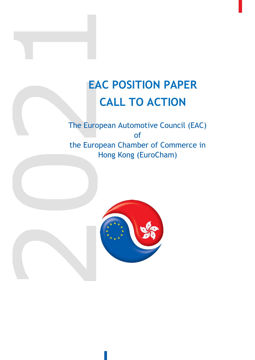# **EAC POSITION PAPER CALL TO ACTION**

The European Automotive Council (EAC) of the European Chamber of Commerce in Hong Kong (EuroCham)

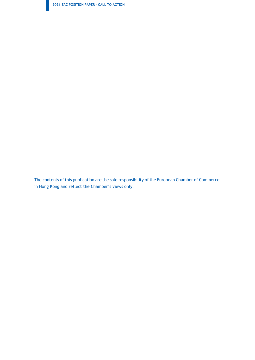**2021 EAC POSITION PAPER - CALL TO ACTION**

The contents of this publication are the sole responsibility of the European Chamber of Commerce in Hong Kong and reflect the Chamber's views only.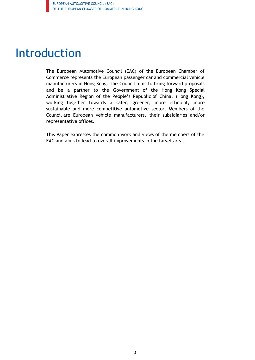## Introduction

The European Automotive Council (EAC) of the European Chamber of Commerce represents the European passenger car and commercial vehicle manufacturers in Hong Kong. The Council aims to bring forward proposals and be a partner to the Government of the Hong Kong Special Administrative Region of the People's Republic of China, (Hong Kong), working together towards a safer, greener, more efficient, more sustainable and more competitive automotive sector. Members of the Council are European vehicle manufacturers, their subsidiaries and/or representative offices.

This Paper expresses the common work and views of the members of the EAC and aims to lead to overall improvements in the target areas.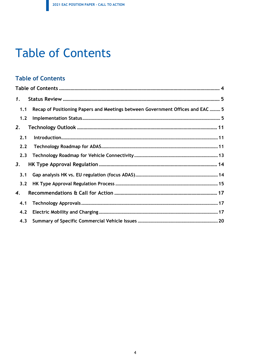## **Table of Contents**

### <span id="page-3-0"></span>**Table of Contents**

| $\mathbf{1}$ . |                                                                                |
|----------------|--------------------------------------------------------------------------------|
| 1.1            | Recap of Positioning Papers and Meetings between Government Offices and EAC  5 |
| 1.2            |                                                                                |
| 2.             |                                                                                |
| 2.1            |                                                                                |
| 2.2            |                                                                                |
| 2.3            |                                                                                |
| 3.             |                                                                                |
| 3.1            |                                                                                |
| 3.2            |                                                                                |
| 4.             |                                                                                |
| 4.1            |                                                                                |
| 4.2            |                                                                                |
| 4.3            |                                                                                |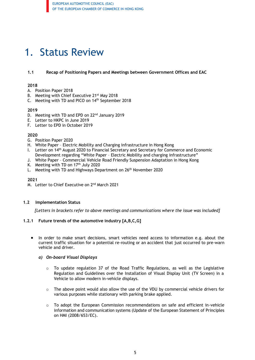### <span id="page-4-1"></span><span id="page-4-0"></span>1. Status Review

#### **1.1 Recap of Positioning Papers and Meetings between Government Offices and EAC**

#### **2018**

- A. Position Paper 2018
- B. Meeting with Chief Executive 21<sup>st</sup> May 2018
- C. Meeting with TD and PICO on 14th September 2018

#### **2019**

- D. Meeting with TD and EPD on 22<sup>nd</sup> January 2019
- E. Letter to HKPC in June 2019
- F. Letter to EPD in October 2019

#### **2020**

- G. Position Paper 2020
- H. White Paper Electric Mobility and Charging infrastructure in Hong Kong
- I. Letter on 14th August 2020 to Financial Secretary and Secretary for Commerce and Economic Development regarding "White Paper – Electric Mobility and charging infrastructure"
- J. White Paper Commercial Vehicle Road Friendly Suspension Adaptation in Hong Kong
- K. Meeting with TD on  $17<sup>th</sup>$  July 2020
- L. Meeting with TD and Highways Department on 26<sup>th</sup> November 2020

**2021**

M. Letter to Chief Executive on 2<sup>nd</sup> March 2021

#### <span id="page-4-2"></span>**1.2 Implementation Status**

*[Letters in brackets refer to above meetings and communications where the issue was included]*

#### **1.2.1 Future trends of the automotive industry [A,B,C,G]**

• In order to make smart decisions, smart vehicles need access to information e.g. about the current traffic situation for a potential re-routing or an accident that just occurred to pre-warn vehicle and driver.

#### *a) On-board Visual Displays*

- $\circ$  To update regulation 37 of the Road Traffic Regulations, as well as the Legislative Regulation and Guidelines over the Installation of Visual Display Unit (TV Screen) in a Vehicle to allow modern in-vehicle displays.
- $\circ$  The above point would also allow the use of the VDU by commercial vehicle drivers for various purposes while stationary with parking brake applied.
- o To adopt the European Commission recommendations on safe and efficient in-vehicle information and communication systems (Update of the European Statement of Principles on HMI (2008/653/EC).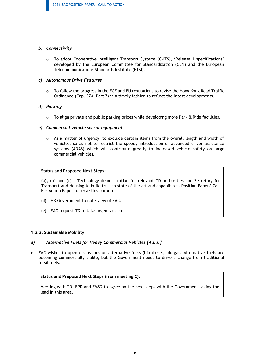#### *b) Connectivity*

o To adopt Cooperative Intelligent Transport Systems (C-ITS), 'Release 1 specifications' developed by the European Committee for Standardization (CEN) and the European Telecommunications Standards Institute (ETSI).

#### *c) Autonomous Drive Features*

 $\circ$  To follow the progress in the ECE and EU regulations to revise the Hong Kong Road Traffic Ordinance (Cap. 374, Part 7) in a timely fashion to reflect the latest developments.

#### *d) Parking*

 $\circ$  To align private and public parking prices while developing more Park & Ride facilities.

#### *e) Commercial vehicle sensor equipment*

o As a matter of urgency, to exclude certain items from the overall length and width of vehicles, so as not to restrict the speedy introduction of advanced driver assistance systems (ADAS) which will contribute greatly to increased vehicle safety on large commercial vehicles.

#### **Status and Proposed Next Steps:**

(a), (b) and (c) - Technology demonstration for relevant TD authorities and Secretary for Transport and Housing to build trust in state of the art and capabilities. Position Paper/ Call For Action Paper to serve this purpose.

- (d) HK Government to note view of EAC.
- (e) EAC request TD to take urgent action.

#### **1.2.2. Sustainable Mobility**

#### *a) Alternative Fuels for Heavy Commercial Vehicles [A,B,C]*

• EAC wishes to open discussions on alternative fuels (bio-diesel, bio-gas. Alternative fuels are becoming commercially viable, but the Government needs to drive a change from traditional fossil fuels.

#### **Status and Proposed Next Steps (from meeting C):**

Meeting with TD, EPD and EMSD to agree on the next steps with the Government taking the lead in this area.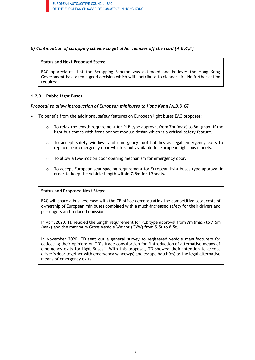EUROPEAN AUTOMOTIVE COUNCIL (EAC) OF THE EUROPEAN CHAMBER OF COMMERCE IN HONG KONG

#### *b) Continuation of scrapping scheme to get older vehicles off the road [A,B,C,F]*

#### **Status and Next Proposed Steps:**

EAC appreciates that the Scrapping Scheme was extended and believes the Hong Kong Government has taken a good decision which will contribute to cleaner air. No further action required.

#### **1.2.3 Public Light Buses**

#### *Proposal to allow introduction of European minibuses to Hong Kong [A,B,D,G]*

- To benefit from the additional safety features on European light buses EAC proposes:
	- $\circ$  To relax the length requirement for PLB type approval from 7m (max) to 8m (max) if the light bus comes with front bonnet module design which is a critical safety feature.
	- $\circ$  To accept safety windows and emergency roof hatches as legal emergency exits to replace rear emergency door which is not available for European light bus models.
	- o To allow a two-motion door opening mechanism for emergency door.
	- $\circ$  To accept European seat spacing requirement for European light buses type approval in order to keep the vehicle length within 7.5m for 19 seats.

#### **Status and Proposed Next Steps:**

EAC will share a business case with the CE office demonstrating the competitive total costs of ownership of European minibuses combined with a much-increased safety for their drivers and passengers and reduced emissions.

In April 2020, TD relaxed the length requirement for PLB type approval from 7m (max) to 7.5m (max) and the maximum Gross Vehicle Weight (GVW) from 5.5t to 8.5t.

In November 2020, TD sent out a general survey to registered vehicle manufacturers for collecting their opinions on TD's trade consultation for "Introduction of alternative means of emergency exits for light Buses". With this proposal, TD showed their intention to accept driver's door together with emergency window(s) and escape hatch(es) as the legal alternative means of emergency exits.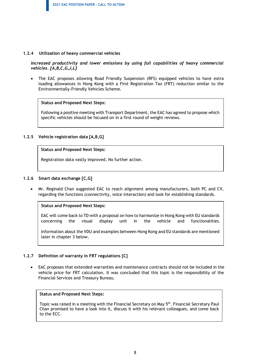#### **1.2.4 Utilization of heavy commercial vehicles**

*Increased productivity and lower emissions by using full capabilities of heavy commercial vehicles. [A,B,C,G,J,L]*

The EAC proposes allowing Road Friendly Suspension (RFS) equipped vehicles to have extra loading allowances in Hong Kong with a First Registration Tax (FRT) reduction similar to the Environmentally-Friendly Vehicles Scheme.

#### **Status and Proposed Next Steps:**

Following a positive meeting with Transport Department, the EAC has agreed to propose which specific vehicles should be focused on in a first round of weight reviews.

#### **1.2.5 Vehicle registration data [A,B,G]**

#### **Status and Proposed Next Steps:**

Registration data vastly improved. No further action.

#### **1.2.6 Smart data exchange [C,G]**

• Mr. Reginald Chan suggested EAC to reach alignment among manufacturers, both PC and CV, regarding the functions (connectivity, voice interaction) and look for establishing standards.

#### **Status and Proposed Next Steps:**

EAC will come back to TD with a proposal on how to harmonize in Hong Kong with EU standards concerning the visual display unit in the vehicle and functionalities.

Information about the VDU and examples between Hong Kong and EU standards are mentioned later in chapter 3 below.

#### **1.2.7 Definition of warranty in FRT regulations [C]**

• EAC proposes that extended warranties and maintenance contracts should not be included in the vehicle price for FRT calculation. It was concluded that this topic is the responsibility of the Financial Services and Treasury Bureau.

#### **Status and Proposed Next Steps:**

Topic was raised in a meeting with the Financial Secretary on May 5<sup>th</sup>. Financial Secretary Paul Chan promised to have a look into it, discuss it with his relevant colleagues, and come back to the ECC.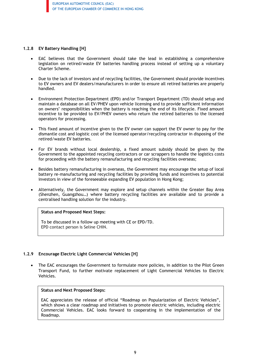#### **1.2.8 EV Battery Handling [H]**

- EAC believes that the Government should take the lead in establishing a comprehensive legislation on retired/waste EV batteries handling process instead of setting up a voluntary Charter Scheme.
- Due to the lack of investors and of recycling facilities, the Government should provide incentives to EV owners and EV dealers/manufacturers in order to ensure all retired batteries are properly handled.
- Environment Protection Department (EPD) and/or Transport Department (TD) should setup and maintain a database on all EV/PHEV upon vehicle licensing and to provide sufficient information on owners' responsibilities when the battery is reaching the end of its lifecycle. Fixed amount incentive to be provided to EV/PHEV owners who return the retired batteries to the licensed operators for processing.
- This fixed amount of incentive given to the EV owner can support the EV owner to pay for the dismantle cost and logistic cost of the licensed operator/recycling contractor in disposing of the retired/waste EV batteries.
- For EV brands without local dealership, a fixed amount subsidy should be given by the Government to the appointed recycling contractors or car scrappers to handle the logistics costs for proceeding with the battery remanufacturing and recycling facilities overseas;
- Besides battery remanufacturing in overseas, the Government may encourage the setup of local battery re-manufacturing and recycling facilities by providing funds and incentives to potential investors in view of the foreseeable expanding EV population in Hong Kong;
- Alternatively, the Government may explore and setup channels within the Greater Bay Area (Shenzhen, Guangzhou…) where battery recycling facilities are available and to provide a centralised handling solution for the industry.

#### **Status and Proposed Next Steps:**

To be discussed in a follow up meeting with CE or EPD/TD. EPD contact person is Seline CHIN.

#### **1.2.9 Encourage Electric Light Commercial Vehicles [H]**

• The EAC encourages the Government to formulate more policies, in addition to the Pilot Green Transport Fund, to further motivate replacement of Light Commercial Vehicles to Electric Vehicles.

#### **Status and Next Proposed Steps:**

EAC appreciates the release of official "Roadmap on Popularization of Electric Vehicles", which shows a clear roadmap and initiatives to promote electric vehicles, including electric Commercial Vehicles. EAC looks forward to cooperating in the implementation of the Roadmap.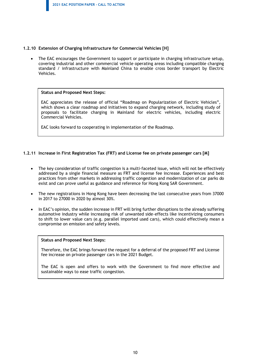#### **1.2.10 Extension of Charging Infrastructure for Commercial Vehicles [H]**

• The EAC encourages the Government to support or participate in charging infrastructure setup, covering industrial and other commercial vehicle operating areas including compatible charging standard / infrastructure with Mainland China to enable cross border transport by Electric Vehicles.

#### **Status and Proposed Next Steps:**

EAC appreciates the release of official "Roadmap on Popularization of Electric Vehicles", which shows a clear roadmap and initiatives to expand charging network, including study of proposals to facilitate charging in Mainland for electric vehicles, including electric Commercial Vehicles.

EAC looks forward to cooperating in implementation of the Roadmap.

#### **1.2.11 Increase in First Registration Tax (FRT) and License fee on private passenger cars [M]**

- The key consideration of traffic congestion is a multi-faceted issue, which will not be effectively addressed by a single financial measure as FRT and license fee increase. Experiences and best practices from other markets in addressing traffic congestion and modernization of car parks do exist and can prove useful as guidance and reference for Hong Kong SAR Government.
- The new registrations in Hong Kong have been decreasing the last consecutive years from 37000 in 2017 to 27000 in 2020 by almost 30%.
- In EAC's opinion, the sudden increase in FRT will bring further disruptions to the already suffering automotive industry while increasing risk of unwanted side-effects like incentivizing consumers to shift to lower value cars (e.g. parallel imported used cars), which could effectively mean a compromise on emission and safety levels.

#### **Status and Proposed Next Steps:**

Therefore, the EAC brings forward the request for a deferral of the proposed FRT and License fee increase on private passenger cars in the 2021 Budget.

The EAC is open and offers to work with the Government to find more effective and sustainable ways to ease traffic congestion.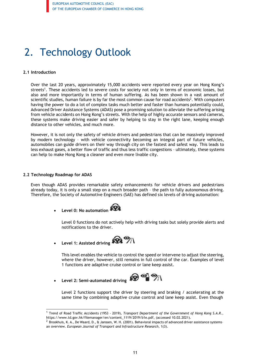### <span id="page-10-0"></span>2. Technology Outlook

#### <span id="page-10-1"></span>**2.1 Introduction**

Over the last 20 years, approximately 15,000 accidents were reported every year on Hong Kong's streets<sup>1</sup>. These accidents led to severe costs for society not only in terms of economic losses, but also and more importantly in terms of human suffering. As has been shown in a vast amount of scientific studies, human failure is by far the most common cause for road accidents<sup>2</sup>. With computers having the power to do a lot of complex tasks much better and faster than humans potentially could, Advanced Driver Assistance Systems (ADAS) pose a promising solution to alleviate the suffering arising from vehicle accidents on Hong Kong's streets. With the help of highly accurate sensors and cameras, these systems make driving easier and safer by helping to stay in the right lane, keeping enough distance to other vehicles, and much more.

However, it is not only the safety of vehicle drivers and pedestrians that can be massively improved by modern technology – with vehicle connectivity becoming an integral part of future vehicles, automobiles can guide drivers on their way through city on the fastest and safest way. This leads to less exhaust gases, a better flow of traffic and thus less traffic congestions – ultimately, these systems can help to make Hong Kong a cleaner and even more livable city.

#### <span id="page-10-2"></span>**2.2 Technology Roadmap for ADAS**

Even though ADAS provides remarkable safety enhancements for vehicle drivers and pedestrians already today, it is only a small step on a much broader path – the path to fully autonomous driving. Therefore, the Society of Automotive Engineers (SAE) has defined six levels of driving automation:

• **Level 0: No automation**

Level 0 functions do not actively help with driving tasks but solely provide alerts and notifications to the driver.

• **Level 1: Assisted driving**

This level enables the vehicle to control the speed or intervene to adjust the steering, where the driver, however, still remains in full control of the car. Examples of level 1 functions are adaptive cruise control or lane keep assist.



Level 2 functions support the driver by steering and braking / accelerating at the same time by combining adaptive cruise control and lane keep assist. Even though

<sup>1</sup> Trend of Road Traffic Accidents (1953 - 2019), *Transport Department of the Government of Hong Kong S.A.R.*, https:/[/www.td.gov.hk/filemanager/en/content\\_1119/2019/b1e.pdf,](http://www.td.gov.hk/filemanager/en/content_1119/2019/b1e.pdf) (accessed 10.02.2021).

 $2$  Brookhuis, K. A., De Waard, D., & Janssen, W. H. (2001). Behavioral impacts of advanced driver assistance systemsan overview. *European Journal of Transport and Infrastructure Research*, 1(3).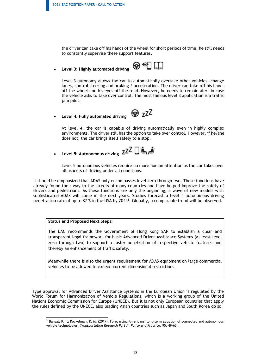the driver can take off his hands of the wheel for short periods of time, he still needs to constantly supervise these support features.

• **Level 3: Highly automated driving**



Level 3 autonomy allows the car to automatically overtake other vehicles, change lanes, control steering and braking / acceleration. The driver can take off his hands off the wheel and his eyes off the road. However, he needs to remain alert in case the vehicle asks to take over control. The most famous level 3 application is a traffic jam pilot.

• **Level 4: Fully automated driving**



At level 4, the car is capable of driving automatically even in highly complex environments. The driver still has the option to take over control. However, if he/she does not, the car brings itself safely to a stop.

• **Level 5: Autonomous driving**

Level 5 autonomous vehicles require no more human attention as the car takes over all aspects of driving under all conditions.

It should be emphasized that ADAS only encompasses level zero through two. These functions have already found their way to the streets of many countries and have helped improve the safety of drivers and pedestrians. As these functions are only the beginning, a wave of new models with sophisticated ADAS will come in the next years. Studies forecast a level 4 autonomous driving penetration rate of up to 87 % in the USA by 2045<sup>3</sup>. Globally, a comparable trend will be observed.

#### **Status and Proposed Next Steps:**

The EAC recommends the Government of Hong Kong SAR to establish a clear and transparent legal framework for basic Advanced Driver Assistance Systems (at least level zero through two) to support a faster penetration of respective vehicle features and thereby an enhancement of traffic safety.

Meanwhile there is also the urgent requirement for ADAS equipment on large commercial vehicles to be allowed to exceed current dimensional restrictions.

Type approval for Advanced Driver Assistance Systems in the European Union is regulated by the World Forum for Harmonization of Vehicle Regulations, which is a working group of the United Nations Economic Commission for Europe (UNECE). But it is not only European countries that apply the rules defined by the UNECE, also leading Asian countries such as Japan and South Korea do so.

<sup>3</sup> Bansal, P., & Kockelman, K. M. (2017). Forecasting Americans' long-term adoption of connected and autonomous vehicle technologies. *Transportation Research Part A: Policy and Practice*, 95, 49-63.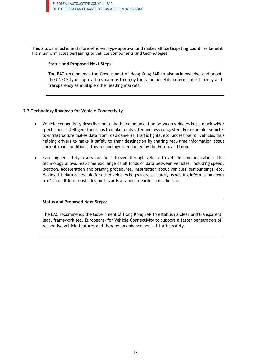This allows a faster and more efficient type approval and makes all participating countries benefit from uniform rules pertaining to vehicle components and technologies.

#### **Status and Proposed Next Steps:**

The EAC recommends the Government of Hong Kong SAR to also acknowledge and adopt the UNECE type approval regulations to enjoy the same benefits in terms of efficiency and transparency as multiple other leading markets.

#### <span id="page-12-0"></span>**2.3 Technology Roadmap for Vehicle Connectivity**

- Vehicle connectivity describes not only the communication between vehicles but a much wider spectrum of intelligent functions to make roads safer and less congested. For example, vehicleto-infrastructure makes data from road cameras, traffic lights, etc. accessible for vehicles thus helping drivers to make it safely to their destination by sharing real-time information about current road conditions. This technology is endorsed by the European Union.
- Even higher safety levels can be achieved through vehicle-to-vehicle communication. This technology allows real-time exchange of all kinds of data between vehicles, including speed, location, acceleration and braking procedures, information about vehicles' surroundings, etc. Making this data accessible for other vehicles helps increase safety by getting information about traffic conditions, obstacles, or hazards at a much earlier point in time.

#### **Status and Proposed Next Steps:**

The EAC recommends the Government of Hong Kong SAR to establish a clear and transparent legal framework (eg. European)- for Vehicle Connectivity to support a faster penetration of respective vehicle features and thereby an enhancement of traffic safety.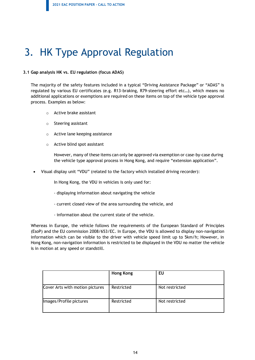### <span id="page-13-0"></span>3. HK Type Approval Regulation

#### <span id="page-13-1"></span>**3.1 Gap analysis HK vs. EU regulation (focus ADAS)**

The majority of the safety features included in a typical "Driving Assistance Package" or "ADAS" is regulated by various EU certificates (e.g. R13-braking, R79-steering effort etc…), which means no additional applications or exemptions are required on these items on top of the vehicle type approval process. Examples as below:

- o Active brake assistant
- o Steering assistant
- o Active lane keeping assistance
- o Active blind spot assistant

However, many of these items can only be approved via exemption or case-by-case during the vehicle type approval process in Hong Kong, and require "extension application".

• Visual display unit "VDU" (related to the factory which installed driving recorder):

In Hong Kong, the VDU in vehicles is only used for:

- displaying information about navigating the vehicle
- current closed view of the area surrounding the vehicle, and
- information about the current state of the vehicle.

Whereas in Europe, the vehicle follows the requirements of the European Standard of Principles (EsoP) and the EU commission 2008/653/EC. In Europe, the VDU is allowed to display non-navigation information which can be visible to the driver with vehicle speed limit up to 5km/h; However, in Hong Kong, non-navigation information is restricted to be displayed in the VDU no matter the vehicle is in motion at any speed or standstill.

|                                 | <b>Hong Kong</b> | EU             |
|---------------------------------|------------------|----------------|
| Cover Arts with motion pictures | Restricted       | Not restricted |
| Images/Profile pictures         | Restricted       | Not restricted |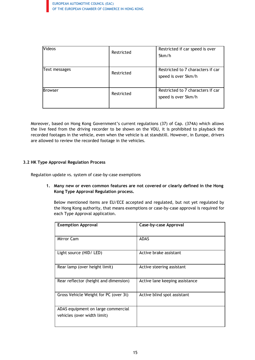| <b>Videos</b> | Restricted | Restricted if car speed is over<br>5km/h                 |
|---------------|------------|----------------------------------------------------------|
| Text messages | Restricted | Restricted to 7 characters if car<br>speed is over 5km/h |
| Browser       | Restricted | Restricted to 7 characters if car<br>speed is over 5km/h |

Moreover, based on Hong Kong Government's current regulations (37) of Cap. (374A) which allows the live feed from the driving recorder to be shown on the VDU, it is prohibited to playback the recorded footages in the vehicle, even when the vehicle is at standstill. However, in Europe, drivers are allowed to review the recorded footage in the vehicles.

#### <span id="page-14-0"></span>**3.2 HK Type Approval Regulation Process**

Regulation update vs. system of case-by-case exemptions

#### **1. Many new or even common features are not covered or clearly defined in the Hong Kong Type Approval Regulation process.**

Below mentioned items are EU/ECE accepted and regulated, but not yet regulated by the Hong Kong authority, that means exemptions or case-by-case approval is required for each Type Approval application.

| <b>Exemption Approval</b>                                         | <b>Case-by-case Approval</b>   |
|-------------------------------------------------------------------|--------------------------------|
| Mirror Cam                                                        | <b>ADAS</b>                    |
| Light source (HID/ LED)                                           | Active brake assistant         |
| Rear lamp (over height limit)                                     | Active steering assistant      |
| Rear reflector (height and dimension)                             | Active lane keeping assistance |
| Gross Vehicle Weight for PC (over 3t)                             | Active blind spot assistant    |
| ADAS equipment on large commercial<br>vehicles (over width limit) |                                |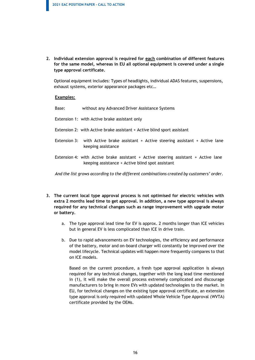**2. Individual extension approval is required for each combination of different features for the same model, whereas in EU all optional equipment is covered under a single type approval certificate.**

Optional equipment includes: Types of headlights, individual ADAS features, suspensions, exhaust systems, exterior appearance packages etc…

#### **Examples:**

Base: without any Advanced Driver Assistance Systems

- Extension 1: with Active brake assistant only
- Extension 2: with Active brake assistant + Active blind sport assistant
- Extension 3: with Active brake assistant + Active steering assistant + Active lane keeping assistance
- Extension 4: with Active brake assistant + Active steering assistant + Active lane keeping assistance + Active blind spot assistant

*And the list grows according to the different combinations created by customers' order.*

- **3. The current local type approval process is not optimised for electric vehicles with extra 2 months lead time to get approval. In addition, a new type approval is always required for any technical changes such as range improvement with upgrade motor or battery.**
	- a. The type approval lead time for EV is approx. 2 months longer than ICE vehicles but in general EV is less complicated than ICE in drive train.
	- b. Due to rapid advancements on EV technologies, the efficiency and performance of the battery, motor and on-board charger will constantly be improved over the model lifecycle. Technical updates will happen more frequently compares to that on ICE models.

Based on the current procedure, a fresh type approval application is always required for any technical changes, together with the long lead time mentioned in (1), it will make the overall process extremely complicated and discourage manufacturers to bring in more EVs with updated technologies to the market. In EU, for technical changes on the existing type approval certificate, an extension type approval is only required with updated Whole Vehicle Type Approval (WVTA) certificate provided by the OEMs.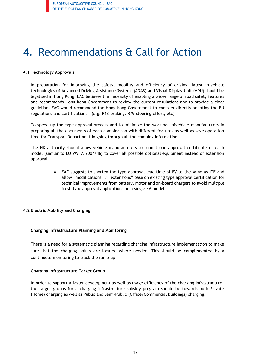### <span id="page-16-0"></span>**4.** Recommendations & Call for Action

#### <span id="page-16-1"></span>**4.1 Technology Approvals**

In preparation for improving the safety, mobility and efficiency of driving, latest in-vehicle technologies of Advanced Driving Assistance Systems (ADAS) and Visual Display Unit (VDU) should be legalised in Hong Kong. EAC believes the necessity of enabling a wider range of road safety features and recommends Hong Kong Government to review the current regulations and to provide a clear guideline. EAC would recommend the Hong Kong Government to consider directly adopting the EU regulations and certifications – (e.g. R13-braking, R79-steering effort, etc)

To speed up the type approval process and to minimize the workload ofvehicle manufacturers in preparing all the documents of each combination with different features as well as save operation time for Transport Department in going through all the complex information

The HK authority should allow vehicle manufacturers to submit one approval certificate of each model (similar to EU WVTA 2007/46) to cover all possible optional equipment instead of extension approval

> • EAC suggests to shorten the type approval lead time of EV to the same as ICE and allow "modifications" / "extensions" base on existing type approval certification for technical improvements from battery, motor and on-board chargers to avoid multiple fresh type approval applications on a single EV model

#### <span id="page-16-2"></span>**4.2 Electric Mobility and Charging**

#### **Charging Infrastructure Planning and Monitoring**

There is a need for a systematic planning regarding charging infrastructure implementation to make sure that the charging points are located where needed. This should be complemented by a continuous monitoring to track the ramp-up.

#### **Charging Infrastructure Target Group**

In order to support a faster development as well as usage efficiency of the charging infrastructure, the target groups for a charging infrastructure subsidy program should be towards both Private (Home) charging as well as Public and Semi-Public (Office/Commercial Buildings) charging.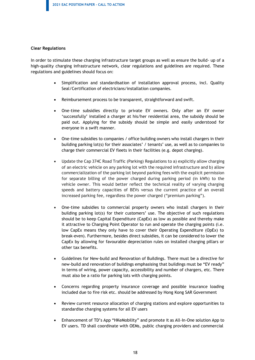#### **Clear Regulations**

In order to stimulate these charging infrastructure target groups as well as ensure the build- up of a high-quality charging infrastructure network, clear regulations and guidelines are required. These regulations and guidelines should focus on:

- Simplification and standardisation of installation approval process, incl. Quality Seal/Certification of electricians/installation companies.
- Reimbursement process to be transparent, straightforward and swift.
- One-time subsidies directly to private EV owners. Only after an EV owner 'successfully' installed a charger at his/her residential area, the subsidy should be paid out. Applying for the subsidy should be simple and easily understood for everyone in a swift manner.
- One-time subsidies to companies / office building owners who install chargers in their building parking lot(s) for their associates' / tenants' use, as well as to companies to charge their commercial EV fleets in their facilities (e.g. depot charging).
- Update the Cap 374C Road Traffic (Parking) Regulations to a) explicitly allow charging of an electric vehicle on any parking lot with the required infrastructure and b) allow commercialization of the parking lot beyond parking feeswith the explicit permission for separate billing of the power charged during parking period (in kWh) to the vehicle owner. This would better reflect the technical reality of varying charging speeds and battery capacities of BEVs versus the current practice of an overall increased parking fee, regardless the power charged ("premium parking").
- One-time subsidies to commercial property owners who install chargers in their building parking lot(s) for their customers' use. The objective of such regulations should be to keep Capital Expenditure (CapEx) as low as possible and thereby make it attractive to Charging Point Operator to run and operate the charging points (i.e. low CapEx means they only have to cover their Operating Expenditure (OpEx) to break-even). Furthermore, besides direct subsidies, it can be considered to lower the CapEx by allowing for favourable depreciation rules on installed charging pillars or other tax benefits.
- Guidelines for New-build and Renovation of Buildings. There must be a directive for new-build and renovation of buildings emphasising that buildings must be "EV ready" in terms of wiring, power capacity, accessibility and number of chargers, etc. There must also be a ratio for parking lots with charging points.
- Concerns regarding property insurance coverage and possible insurance loading included due to fire risk etc. should be addressed by Hong Kong SAR Government
- Review current resource allocation of charging stations and explore opportunities to standardise charging systems for all EV users
- Enhancement of TD's App "HKeMobility" and promote it as All-In-One solution App to EV users. TD shall coordinate with OEMs, public charging providers and commercial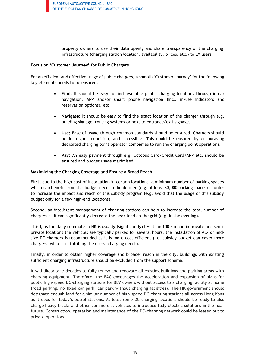property owners to use their data openly and share transparency of the charging infrastructure (charging station location, availability, prices, etc.) to EV users.

#### **Focus on 'Customer Journey' for Public Chargers**

For an efficient and effective usage of public chargers, a smooth 'Customer Journey' for the following key elements needs to be ensured:

- **Find:** It should be easy to find available public charging locations through in-car navigation, APP and/or smart phone navigation (incl. in-use indicators and reservation options), etc.
- Navigate: It should be easy to find the exact location of the charger through e.g. building signage, routing systems or next to entrance/exit signage.
- **Use:** Ease of usage through common standards should be ensured. Chargers should be in a good condition, and accessible. This could be ensured by encouraging dedicated charging point operator companies to run the charging point operations.
- **Pay:** An easy payment through e.g. Octopus Card/Credit Card/APP etc. should be ensured and budget usage maximised.

#### **Maximizing the Charging Coverage and Ensure a Broad Reach**

First, due to the high cost of installation in certain locations, a minimum number of parking spaces which can benefit from this budget needs to be defined (e.g. at least 30,000 parking spaces) in order to increase the impact and reach of this subsidy program (e.g. avoid that the usage of this subsidy budget only for a few high-end locations).

Second, an intelligent management of charging stations can help to increase the total number of chargers as it can significantly decrease the peak load on the grid (e.g. in the evening).

Third, as the daily commute in HK is usually (significantly) less than 100 km and in private and semiprivate locations the vehicles are typically parked for several hours, the installation of AC- or midsize DC-chargers is recommended as it is more cost-efficient (i.e. subsidy budget can cover more chargers, while still fulfilling the users' charging needs).

Finally, in order to obtain higher coverage and broader reach in the city, buildings with existing sufficient charging infrastructure should be excluded from the support scheme.

It will likely take decades to fully renew and renovate all existing buildings and parking areas with charging equipment. Therefore, the EAC encourages the acceleration and expansion of plans for public high-speed DC-charging stations for BEV owners without access to a charging facility at home (road parking, no fixed car park, car park without charging facilities). The HK government should designate enough land for a similar number of high-speed DC-charging stations all across Hong Kong as it does for today's petrol stations. At least some DC-charging locations should be ready to also charge heavy trucks and other commercial vehicles to introduce fully electric solutions in the near future. Construction, operation and maintenance of the DC-charging network could be leased out to private operators.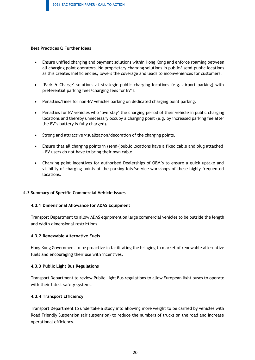#### **Best Practices & Further Ideas**

- Ensure unified charging and payment solutions within Hong Kong and enforce roaming between all charging point operators. No proprietary charging solutions in public/ semi-public locations as this creates inefficiencies, lowers the coverage and leads to inconveniences for customers.
- 'Park & Charge' solutions at strategic public charging locations (e.g. airport parking) with preferential parking fees/charging fees for EV's.
- Penalties/fines for non-EV vehicles parking on dedicated charging point parking.
- Penalties for EV vehicles who 'overstay' the charging period of their vehicle in public charging locations and thereby unnecessary occupy a charging point (e.g. by increased parking fee after the EV's battery is fully charged).
- Strong and attractive visualization/decoration of the charging points.
- Ensure that all charging points in (semi-)public locations have a fixed cable and plug attached - EV users do not have to bring their own cable.
- Charging point incentives for authorised Dealerships of OEM's to ensure a quick uptake and visibility of charging points at the parking lots/service workshops of these highly frequented locations.

#### <span id="page-19-0"></span>**4.3 Summary of Specific Commercial Vehicle Issues**

#### **4.3.1 Dimensional Allowance for ADAS Equipment**

Transport Department to allow ADAS equipment on large commercial vehicles to be outside the length and width dimensional restrictions.

#### **4.3.2 Renewable Alternative Fuels**

Hong Kong Government to be proactive in facilitating the bringing to market of renewable alternative fuels and encouraging their use with incentives.

#### **4.3.3 Public Light Bus Regulations**

Transport Department to review Public Light Bus regulations to allow European light buses to operate with their latest safety systems.

#### **4.3.4 Transport Efficiency**

Transport Department to undertake a study into allowing more weight to be carried by vehicles with Road Friendly Suspension (air suspension) to reduce the numbers of trucks on the road and increase operational efficiency.